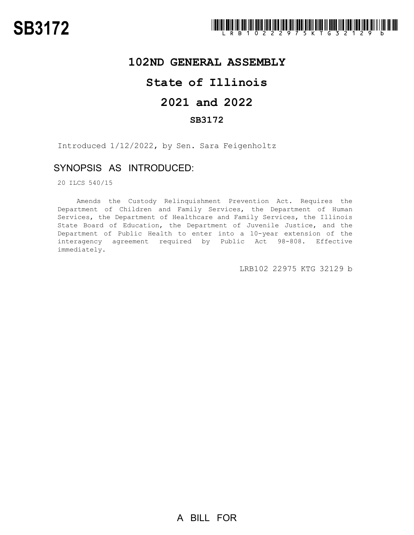

## **102ND GENERAL ASSEMBLY**

# **State of Illinois**

# **2021 and 2022**

### **SB3172**

Introduced 1/12/2022, by Sen. Sara Feigenholtz

### SYNOPSIS AS INTRODUCED:

20 ILCS 540/15

Amends the Custody Relinquishment Prevention Act. Requires the Department of Children and Family Services, the Department of Human Services, the Department of Healthcare and Family Services, the Illinois State Board of Education, the Department of Juvenile Justice, and the Department of Public Health to enter into a 10-year extension of the interagency agreement required by Public Act 98-808. Effective immediately.

LRB102 22975 KTG 32129 b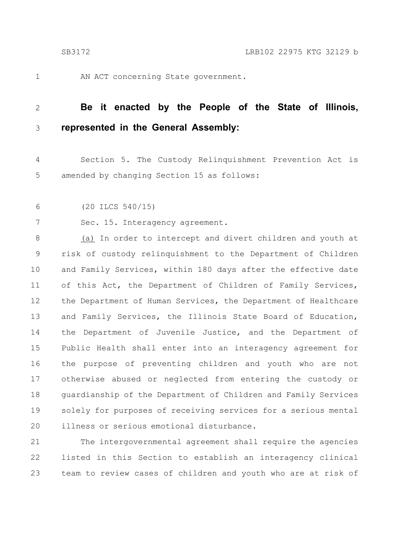1

AN ACT concerning State government.

#### **Be it enacted by the People of the State of Illinois, represented in the General Assembly:** 2 3

Section 5. The Custody Relinquishment Prevention Act is amended by changing Section 15 as follows: 4 5

(20 ILCS 540/15) 6

7

Sec. 15. Interagency agreement.

(a) In order to intercept and divert children and youth at risk of custody relinquishment to the Department of Children and Family Services, within 180 days after the effective date of this Act, the Department of Children of Family Services, the Department of Human Services, the Department of Healthcare and Family Services, the Illinois State Board of Education, the Department of Juvenile Justice, and the Department of Public Health shall enter into an interagency agreement for the purpose of preventing children and youth who are not otherwise abused or neglected from entering the custody or guardianship of the Department of Children and Family Services solely for purposes of receiving services for a serious mental illness or serious emotional disturbance. 8 9 10 11 12 13 14 15 16 17 18 19 20

The intergovernmental agreement shall require the agencies listed in this Section to establish an interagency clinical team to review cases of children and youth who are at risk of 21 22 23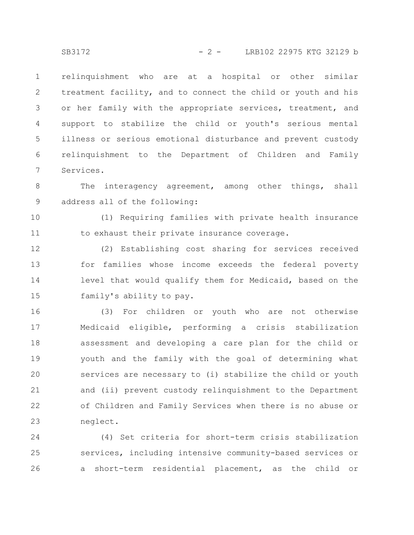relinquishment who are at a hospital or other similar treatment facility, and to connect the child or youth and his or her family with the appropriate services, treatment, and support to stabilize the child or youth's serious mental illness or serious emotional disturbance and prevent custody relinquishment to the Department of Children and Family Services. 1 2 3 4 5 6 7

The interagency agreement, among other things, shall address all of the following: 8 9

(1) Requiring families with private health insurance to exhaust their private insurance coverage. 10 11

(2) Establishing cost sharing for services received for families whose income exceeds the federal poverty level that would qualify them for Medicaid, based on the family's ability to pay. 12 13 14 15

(3) For children or youth who are not otherwise Medicaid eligible, performing a crisis stabilization assessment and developing a care plan for the child or youth and the family with the goal of determining what services are necessary to (i) stabilize the child or youth and (ii) prevent custody relinquishment to the Department of Children and Family Services when there is no abuse or neglect. 16 17 18 19 20 21 22 23

(4) Set criteria for short-term crisis stabilization services, including intensive community-based services or a short-term residential placement, as the child or 24 25 26